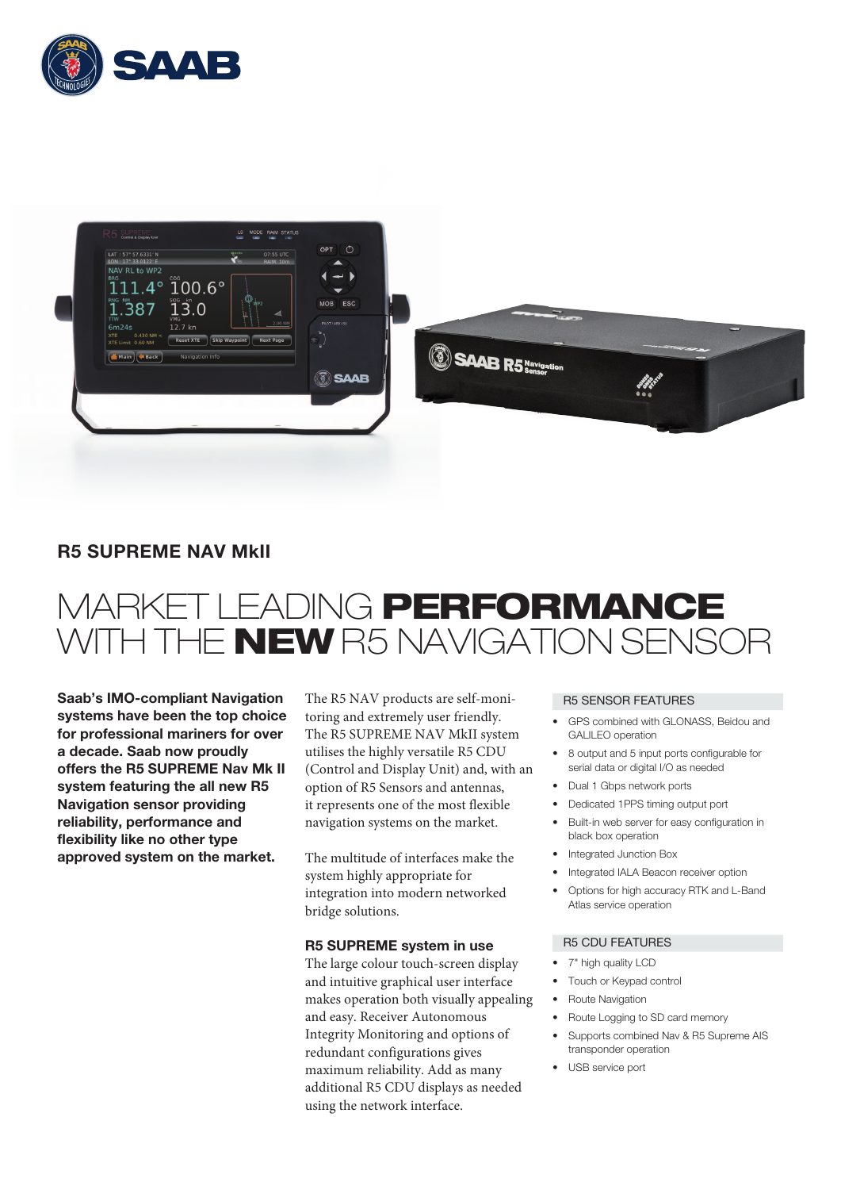



# R5 SUPREME NAV MkII

# $\mathsf{N}\mathsf{N}\cap\mathsf{D}$ MARKET LEADING PERFORMANCE WITH THE **NEW** R5 NAVIGATION SENSOR

Saab's IMO-compliant Navigation systems have been the top choice for professional mariners for over a decade. Saab now proudly offers the R5 SUPREME Nav Mk II system featuring the all new R5 Navigation sensor providing reliability, performance and flexibility like no other type approved system on the market.

The R5 NAV products are self-monitoring and extremely user friendly. The R5 SUPREME NAV MkII system utilises the highly versatile R5 CDU (Control and Display Unit) and, with an option of R5 Sensors and antennas, it represents one of the most flexible navigation systems on the market.

The multitude of interfaces make the system highly appropriate for integration into modern networked bridge solutions.

#### R5 SUPREME system in use

The large colour touch-screen display and intuitive graphical user interface makes operation both visually appealing and easy. Receiver Autonomous Integrity Monitoring and options of redundant configurations gives maximum reliability. Add as many additional R5 CDU displays as needed using the network interface.

#### R5 SENSOR FEATURES

- GPS combined with GLONASS, Beidou and GALILEO operation
- 8 output and 5 input ports configurable for serial data or digital I/O as needed
- Dual 1 Gbps network ports
- Dedicated 1PPS timing output port
- Built-in web server for easy configuration in black box operation
- Integrated Junction Box
- Integrated IALA Beacon receiver option
- Options for high accuracy RTK and L-Band Atlas service operation

#### R5 CDU FEATURES

- 7" high quality LCD
- Touch or Keypad control
- Route Navigation
- Route Logging to SD card memory
- Supports combined Nav & R5 Supreme AIS transponder operation
- USB service port